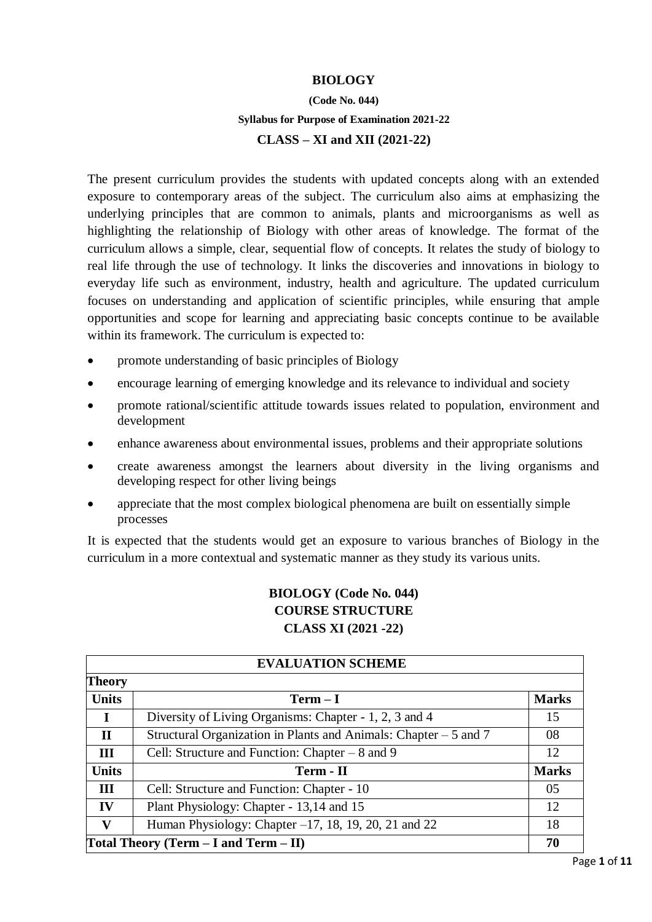#### **BIOLOGY**

# **(Code No. 044) Syllabus for Purpose of Examination 2021-22**

#### **CLASS – XI and XII (2021-22)**

The present curriculum provides the students with updated concepts along with an extended exposure to contemporary areas of the subject. The curriculum also aims at emphasizing the underlying principles that are common to animals, plants and microorganisms as well as highlighting the relationship of Biology with other areas of knowledge. The format of the curriculum allows a simple, clear, sequential flow of concepts. It relates the study of biology to real life through the use of technology. It links the discoveries and innovations in biology to everyday life such as environment, industry, health and agriculture. The updated curriculum focuses on understanding and application of scientific principles, while ensuring that ample opportunities and scope for learning and appreciating basic concepts continue to be available within its framework. The curriculum is expected to:

- promote understanding of basic principles of Biology
- encourage learning of emerging knowledge and its relevance to individual and society
- promote rational/scientific attitude towards issues related to population, environment and development
- enhance awareness about environmental issues, problems and their appropriate solutions
- create awareness amongst the learners about diversity in the living organisms and developing respect for other living beings
- appreciate that the most complex biological phenomena are built on essentially simple processes

It is expected that the students would get an exposure to various branches of Biology in the curriculum in a more contextual and systematic manner as they study its various units.

## **BIOLOGY (Code No. 044) COURSE STRUCTURE CLASS XI (2021 -22)**

| <b>EVALUATION SCHEME</b>                   |                                                                   |              |  |
|--------------------------------------------|-------------------------------------------------------------------|--------------|--|
| Theory                                     |                                                                   |              |  |
| <b>Units</b>                               | $Term - I$                                                        | <b>Marks</b> |  |
|                                            | Diversity of Living Organisms: Chapter - 1, 2, 3 and 4            | 15           |  |
| $\mathbf{I}$                               | Structural Organization in Plants and Animals: Chapter $-5$ and 7 | 08           |  |
| III                                        | Cell: Structure and Function: Chapter – 8 and 9                   | 12           |  |
| <b>Units</b>                               | Term - II                                                         | <b>Marks</b> |  |
| Ш                                          | Cell: Structure and Function: Chapter - 10                        | 05           |  |
| IV                                         | Plant Physiology: Chapter - 13,14 and 15                          | 12           |  |
| $\mathbf{v}$                               | Human Physiology: Chapter $-17$ , 18, 19, 20, 21 and 22           | 18           |  |
| Total Theory (Term $- I$ and Term $- II$ ) |                                                                   |              |  |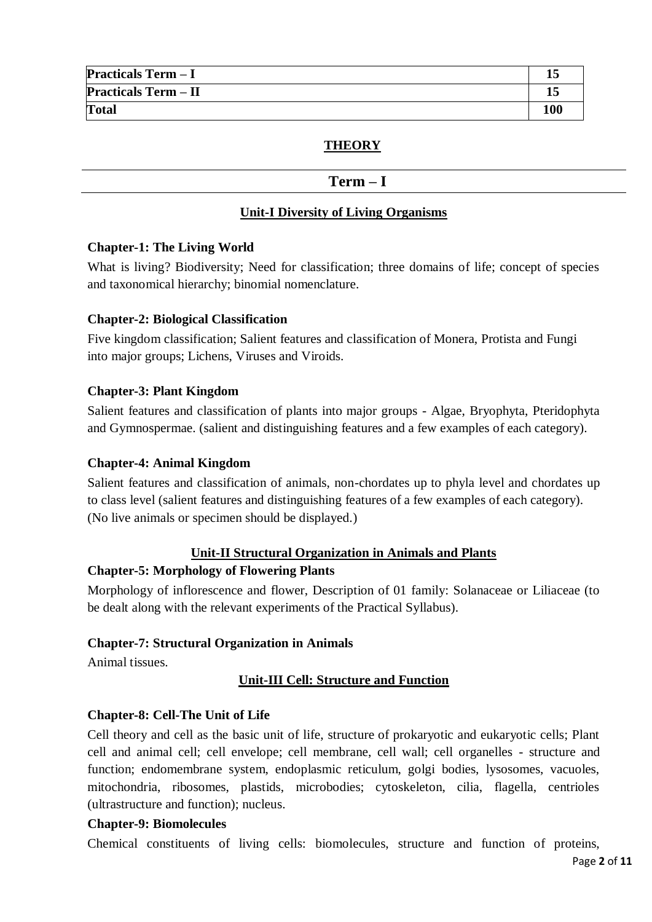| <b>Practicals Term - I</b>  |     |
|-----------------------------|-----|
| <b>Practicals Term - II</b> |     |
| <b>Total</b>                | 100 |

### **THEORY**

#### **Term – I**

### **Unit-I Diversity of Living Organisms**

#### **Chapter-1: The Living World**

What is living? Biodiversity; Need for classification; three domains of life; concept of species and taxonomical hierarchy; binomial nomenclature.

#### **Chapter-2: Biological Classification**

Five kingdom classification; Salient features and classification of Monera, Protista and Fungi into major groups; Lichens, Viruses and Viroids.

#### **Chapter-3: Plant Kingdom**

Salient features and classification of plants into major groups - Algae, Bryophyta, Pteridophyta and Gymnospermae. (salient and distinguishing features and a few examples of each category).

#### **Chapter-4: Animal Kingdom**

Salient features and classification of animals, non-chordates up to phyla level and chordates up to class level (salient features and distinguishing features of a few examples of each category). (No live animals or specimen should be displayed.)

#### **Unit-II Structural Organization in Animals and Plants**

#### **Chapter-5: Morphology of Flowering Plants**

Morphology of inflorescence and flower, Description of 01 family: Solanaceae or Liliaceae (to be dealt along with the relevant experiments of the Practical Syllabus).

#### **Chapter-7: Structural Organization in Animals**

Animal tissues.

### **Unit-III Cell: Structure and Function**

### **Chapter-8: Cell-The Unit of Life**

Cell theory and cell as the basic unit of life, structure of prokaryotic and eukaryotic cells; Plant cell and animal cell; cell envelope; cell membrane, cell wall; cell organelles - structure and function; endomembrane system, endoplasmic reticulum, golgi bodies, lysosomes, vacuoles, mitochondria, ribosomes, plastids, microbodies; cytoskeleton, cilia, flagella, centrioles (ultrastructure and function); nucleus.

#### **Chapter-9: Biomolecules**

Chemical constituents of living cells: biomolecules, structure and function of proteins,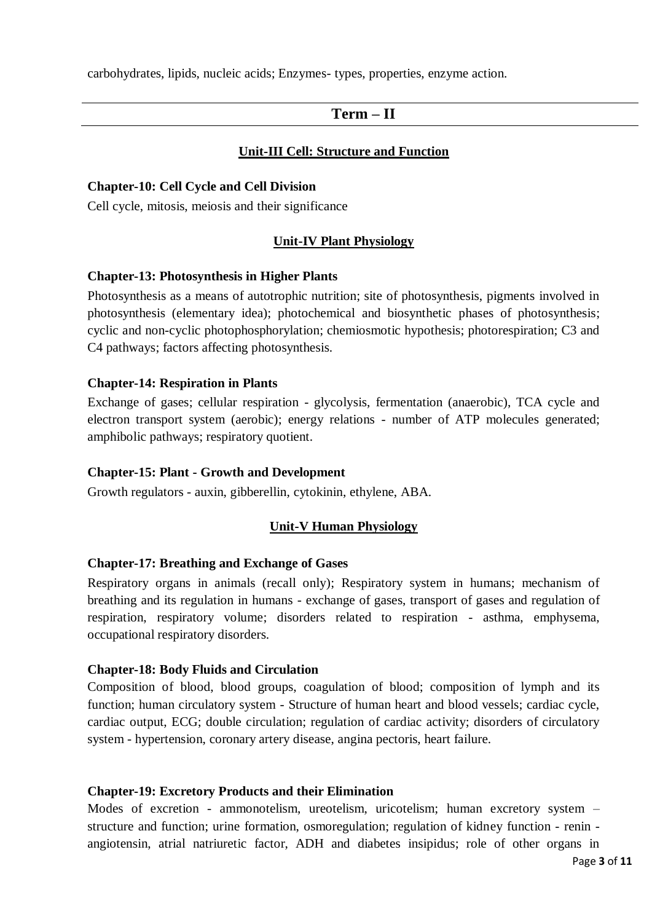carbohydrates, lipids, nucleic acids; Enzymes- types, properties, enzyme action.

## **Term – II**

#### **Unit-III Cell: Structure and Function**

#### **Chapter-10: Cell Cycle and Cell Division**

Cell cycle, mitosis, meiosis and their significance

#### **Unit-IV Plant Physiology**

#### **Chapter-13: Photosynthesis in Higher Plants**

Photosynthesis as a means of autotrophic nutrition; site of photosynthesis, pigments involved in photosynthesis (elementary idea); photochemical and biosynthetic phases of photosynthesis; cyclic and non-cyclic photophosphorylation; chemiosmotic hypothesis; photorespiration; C3 and C4 pathways; factors affecting photosynthesis.

#### **Chapter-14: Respiration in Plants**

Exchange of gases; cellular respiration - glycolysis, fermentation (anaerobic), TCA cycle and electron transport system (aerobic); energy relations - number of ATP molecules generated; amphibolic pathways; respiratory quotient.

#### **Chapter-15: Plant - Growth and Development**

Growth regulators - auxin, gibberellin, cytokinin, ethylene, ABA.

#### **Unit-V Human Physiology**

#### **Chapter-17: Breathing and Exchange of Gases**

Respiratory organs in animals (recall only); Respiratory system in humans; mechanism of breathing and its regulation in humans - exchange of gases, transport of gases and regulation of respiration, respiratory volume; disorders related to respiration - asthma, emphysema, occupational respiratory disorders.

#### **Chapter-18: Body Fluids and Circulation**

Composition of blood, blood groups, coagulation of blood; composition of lymph and its function; human circulatory system - Structure of human heart and blood vessels; cardiac cycle, cardiac output, ECG; double circulation; regulation of cardiac activity; disorders of circulatory system - hypertension, coronary artery disease, angina pectoris, heart failure.

#### **Chapter-19: Excretory Products and their Elimination**

Modes of excretion - ammonotelism, ureotelism, uricotelism; human excretory system – structure and function; urine formation, osmoregulation; regulation of kidney function - renin angiotensin, atrial natriuretic factor, ADH and diabetes insipidus; role of other organs in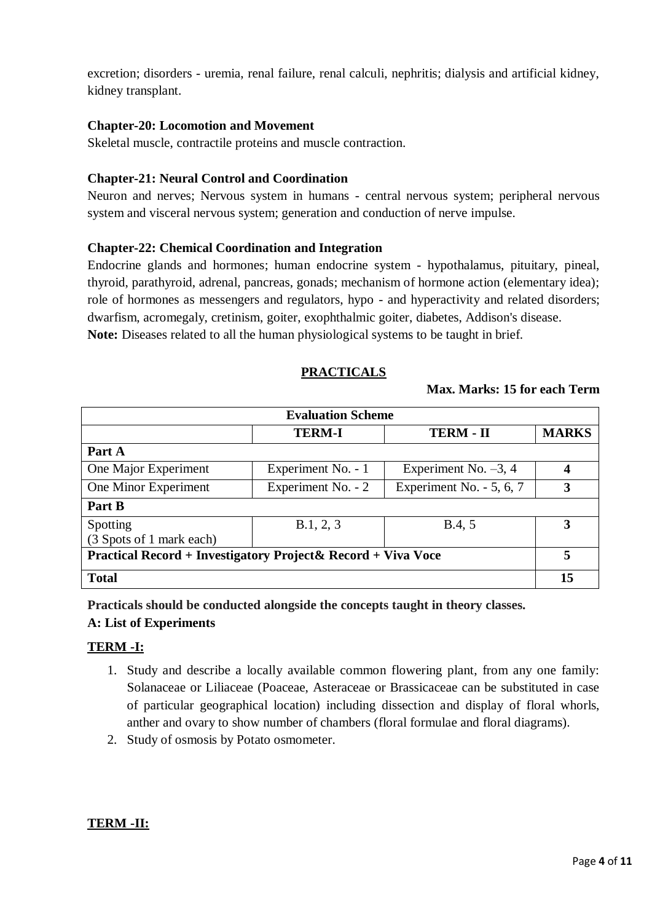excretion; disorders - uremia, renal failure, renal calculi, nephritis; dialysis and artificial kidney, kidney transplant.

#### **Chapter-20: Locomotion and Movement**

Skeletal muscle, contractile proteins and muscle contraction.

#### **Chapter-21: Neural Control and Coordination**

Neuron and nerves; Nervous system in humans - central nervous system; peripheral nervous system and visceral nervous system; generation and conduction of nerve impulse.

#### **Chapter-22: Chemical Coordination and Integration**

Endocrine glands and hormones; human endocrine system - hypothalamus, pituitary, pineal, thyroid, parathyroid, adrenal, pancreas, gonads; mechanism of hormone action (elementary idea); role of hormones as messengers and regulators, hypo - and hyperactivity and related disorders; dwarfism, acromegaly, cretinism, goiter, exophthalmic goiter, diabetes, Addison's disease. **Note:** Diseases related to all the human physiological systems to be taught in brief.

### **PRACTICALS**

#### **Max. Marks: 15 for each Term**

| <b>Evaluation Scheme</b>                                      |                    |                           |              |
|---------------------------------------------------------------|--------------------|---------------------------|--------------|
|                                                               | <b>TERM-I</b>      | <b>TERM - II</b>          | <b>MARKS</b> |
| Part A                                                        |                    |                           |              |
| One Major Experiment                                          | Experiment No. - 1 | Experiment No. $-3$ , 4   | 4            |
| One Minor Experiment                                          | Experiment No. - 2 | Experiment No. $-5, 6, 7$ | 3            |
| Part B                                                        |                    |                           |              |
| Spotting                                                      | B.1, 2, 3          | B.4, 5                    | 3            |
| (3 Spots of 1 mark each)                                      |                    |                           |              |
| Practical Record + Investigatory Project & Record + Viva Voce |                    |                           | 5            |
| <b>Total</b>                                                  |                    |                           | 15           |

**Practicals should be conducted alongside the concepts taught in theory classes.**

### **A: List of Experiments**

### **TERM -I:**

- 1. Study and describe a locally available common flowering plant, from any one family: Solanaceae or Liliaceae (Poaceae, Asteraceae or Brassicaceae can be substituted in case of particular geographical location) including dissection and display of floral whorls, anther and ovary to show number of chambers (floral formulae and floral diagrams).
- 2. Study of osmosis by Potato osmometer.

### **TERM -II:**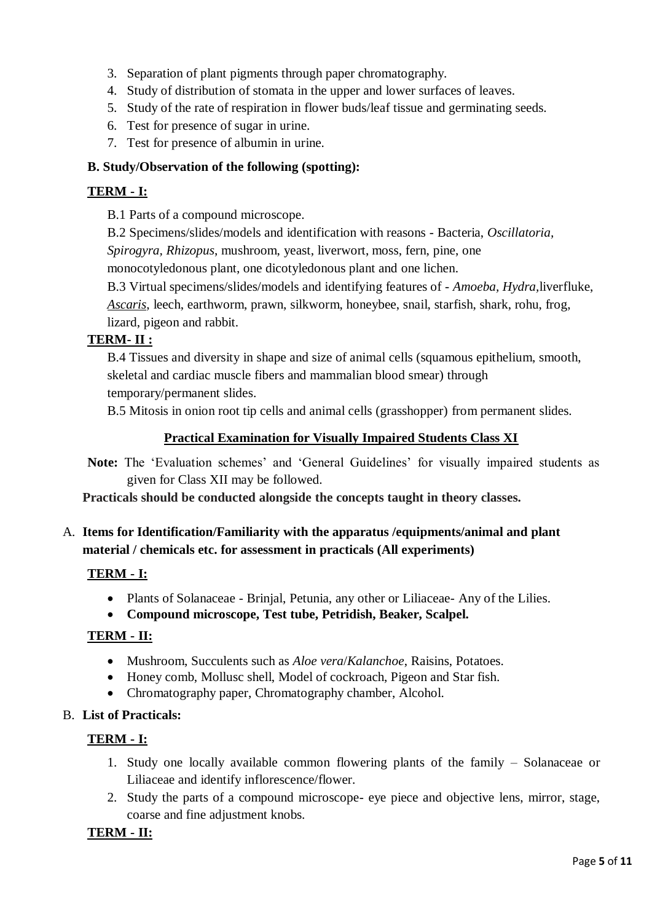- 3. Separation of plant pigments through paper chromatography.
- 4. Study of distribution of stomata in the upper and lower surfaces of leaves.
- 5. Study of the rate of respiration in flower buds/leaf tissue and germinating seeds.
- 6. Test for presence of sugar in urine.
- 7. Test for presence of albumin in urine.

### **B. Study/Observation of the following (spotting):**

## **TERM - I:**

B.1 Parts of a compound microscope.

B.2 Specimens/slides/models and identification with reasons - Bacteria, *Oscillatoria, Spirogyra, Rhizopus*, mushroom, yeast, liverwort, moss, fern, pine, one

monocotyledonous plant, one dicotyledonous plant and one lichen.

B.3 Virtual specimens/slides/models and identifying features of - *Amoeba, Hydra,*liverfluke, *Ascaris*, leech, earthworm, prawn, silkworm, honeybee, snail, starfish, shark, rohu, frog, lizard, pigeon and rabbit.

### **TERM- II :**

B.4 Tissues and diversity in shape and size of animal cells (squamous epithelium, smooth, skeletal and cardiac muscle fibers and mammalian blood smear) through temporary/permanent slides.

B.5 Mitosis in onion root tip cells and animal cells (grasshopper) from permanent slides.

### **Practical Examination for Visually Impaired Students Class XI**

**Note:** The 'Evaluation schemes' and 'General Guidelines' for visually impaired students as given for Class XII may be followed.

**Practicals should be conducted alongside the concepts taught in theory classes.**

A. **Items for Identification/Familiarity with the apparatus /equipments/animal and plant material / chemicals etc. for assessment in practicals (All experiments)**

## **TERM - I:**

- Plants of Solanaceae Brinjal, Petunia, any other or Liliaceae- Any of the Lilies.
- **Compound microscope, Test tube, Petridish, Beaker, Scalpel.**

### **TERM - II:**

- Mushroom, Succulents such as *Aloe vera*/*Kalanchoe*, Raisins, Potatoes.
- Honey comb, Mollusc shell, Model of cockroach, Pigeon and Star fish.
- Chromatography paper, Chromatography chamber, Alcohol.

### B. **List of Practicals:**

## **TERM - I:**

- 1. Study one locally available common flowering plants of the family Solanaceae or Liliaceae and identify inflorescence/flower.
- 2. Study the parts of a compound microscope- eye piece and objective lens, mirror, stage, coarse and fine adjustment knobs.

## **TERM - II:**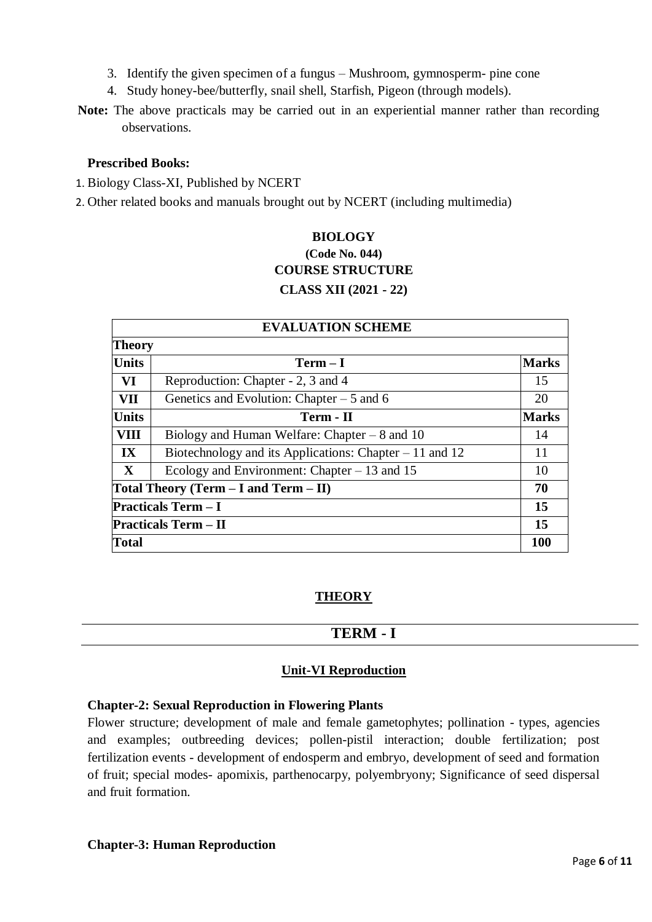- 3. Identify the given specimen of a fungus Mushroom, gymnosperm- pine cone
- 4. Study honey-bee/butterfly, snail shell, Starfish, Pigeon (through models).
- **Note:** The above practicals may be carried out in an experiential manner rather than recording observations.

#### **Prescribed Books:**

- 1. Biology Class-XI, Published by NCERT
- 2. Other related books and manuals brought out by NCERT (including multimedia)

## **BIOLOGY (Code No. 044) COURSE STRUCTURE CLASS XII (2021 - 22)**

| <b>EVALUATION SCHEME</b>    |                                                          |              |  |
|-----------------------------|----------------------------------------------------------|--------------|--|
| <b>Theory</b>               |                                                          |              |  |
| <b>Units</b>                | $Term - I$                                               | <b>Marks</b> |  |
| VI                          | Reproduction: Chapter - 2, 3 and 4                       | 15           |  |
| VII                         | Genetics and Evolution: Chapter $-5$ and 6               | 20           |  |
| <b>Units</b>                | Term - II                                                | <b>Marks</b> |  |
| <b>VIII</b>                 | Biology and Human Welfare: Chapter $-8$ and 10           | 14           |  |
| $\mathbf{I} \mathbf{X}$     | Biotechnology and its Applications: Chapter $-11$ and 12 | 11           |  |
| $\mathbf{X}$                | Ecology and Environment: Chapter $-13$ and 15            | 10           |  |
|                             | Total Theory (Term $-$ I and Term $-$ II)                | 70           |  |
| <b>Practicals Term - I</b>  |                                                          | 15           |  |
| <b>Practicals Term – II</b> |                                                          | 15           |  |
| <b>Total</b>                |                                                          | <b>100</b>   |  |

### **THEORY**

### **TERM - I**

### **Unit-VI Reproduction**

#### **Chapter-2: Sexual Reproduction in Flowering Plants**

Flower structure; development of male and female gametophytes; pollination - types, agencies and examples; outbreeding devices; pollen-pistil interaction; double fertilization; post fertilization events - development of endosperm and embryo, development of seed and formation of fruit; special modes- apomixis, parthenocarpy, polyembryony; Significance of seed dispersal and fruit formation.

#### **Chapter-3: Human Reproduction**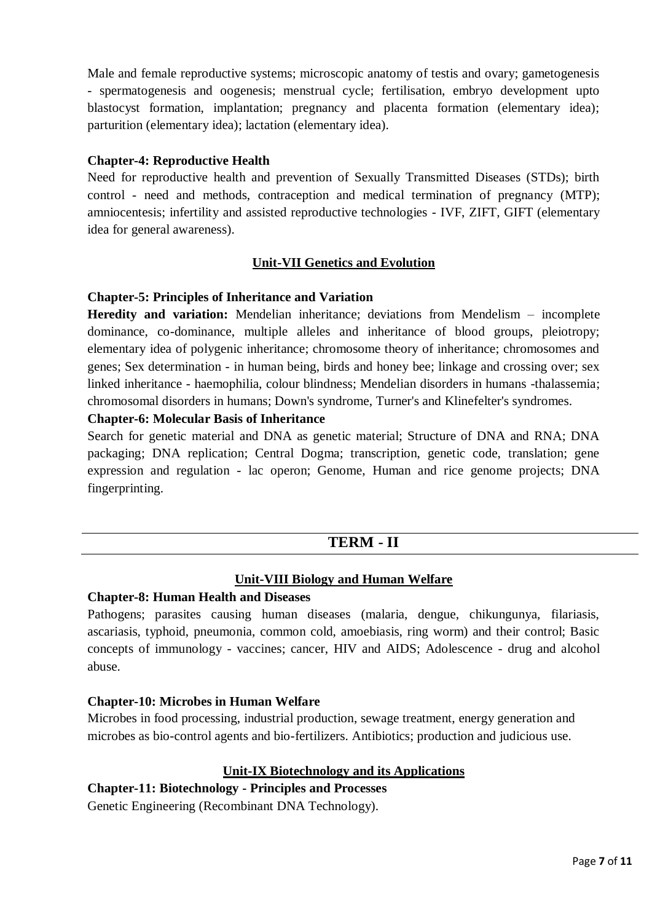Male and female reproductive systems; microscopic anatomy of testis and ovary; gametogenesis - spermatogenesis and oogenesis; menstrual cycle; fertilisation, embryo development upto blastocyst formation, implantation; pregnancy and placenta formation (elementary idea); parturition (elementary idea); lactation (elementary idea).

#### **Chapter-4: Reproductive Health**

Need for reproductive health and prevention of Sexually Transmitted Diseases (STDs); birth control - need and methods, contraception and medical termination of pregnancy (MTP); amniocentesis; infertility and assisted reproductive technologies - IVF, ZIFT, GIFT (elementary idea for general awareness).

### **Unit-VII Genetics and Evolution**

#### **Chapter-5: Principles of Inheritance and Variation**

**Heredity and variation:** Mendelian inheritance; deviations from Mendelism – incomplete dominance, co-dominance, multiple alleles and inheritance of blood groups, pleiotropy; elementary idea of polygenic inheritance; chromosome theory of inheritance; chromosomes and genes; Sex determination - in human being, birds and honey bee; linkage and crossing over; sex linked inheritance - haemophilia, colour blindness; Mendelian disorders in humans -thalassemia; chromosomal disorders in humans; Down's syndrome, Turner's and Klinefelter's syndromes.

#### **Chapter-6: Molecular Basis of Inheritance**

Search for genetic material and DNA as genetic material; Structure of DNA and RNA; DNA packaging; DNA replication; Central Dogma; transcription, genetic code, translation; gene expression and regulation - lac operon; Genome, Human and rice genome projects; DNA fingerprinting.

### **TERM - II**

#### **Unit-VIII Biology and Human Welfare**

#### **Chapter-8: Human Health and Diseases**

Pathogens; parasites causing human diseases (malaria, dengue, chikungunya, filariasis, ascariasis, typhoid, pneumonia, common cold, amoebiasis, ring worm) and their control; Basic concepts of immunology - vaccines; cancer, HIV and AIDS; Adolescence - drug and alcohol abuse.

#### **Chapter-10: Microbes in Human Welfare**

Microbes in food processing, industrial production, sewage treatment, energy generation and microbes as bio-control agents and bio-fertilizers. Antibiotics; production and judicious use.

#### **Unit-IX Biotechnology and its Applications**

### **Chapter-11: Biotechnology - Principles and Processes**

Genetic Engineering (Recombinant DNA Technology).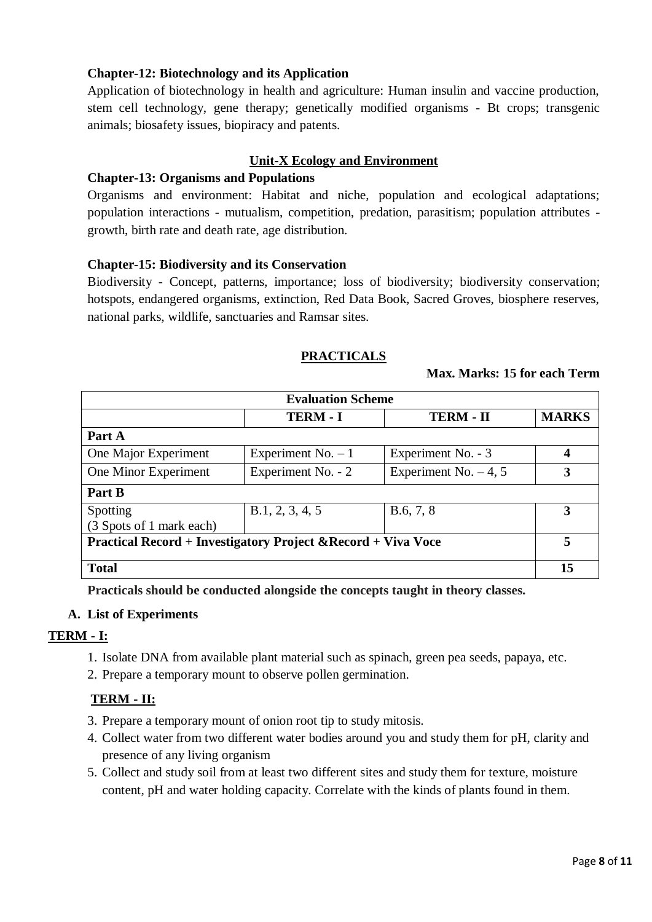### **Chapter-12: Biotechnology and its Application**

Application of biotechnology in health and agriculture: Human insulin and vaccine production, stem cell technology, gene therapy; genetically modified organisms - Bt crops; transgenic animals; biosafety issues, biopiracy and patents.

### **Unit-X Ecology and Environment**

### **Chapter-13: Organisms and Populations**

Organisms and environment: Habitat and niche, population and ecological adaptations; population interactions - mutualism, competition, predation, parasitism; population attributes growth, birth rate and death rate, age distribution.

### **Chapter-15: Biodiversity and its Conservation**

Biodiversity - Concept, patterns, importance; loss of biodiversity; biodiversity conservation; hotspots, endangered organisms, extinction, Red Data Book, Sacred Groves, biosphere reserves, national parks, wildlife, sanctuaries and Ramsar sites.

### **PRACTICALS**

#### **Max. Marks: 15 for each Term**

| <b>Evaluation Scheme</b>                                                 |                     |                         |              |
|--------------------------------------------------------------------------|---------------------|-------------------------|--------------|
|                                                                          | <b>TERM - I</b>     | <b>TERM - II</b>        | <b>MARKS</b> |
| Part A                                                                   |                     |                         |              |
| One Major Experiment                                                     | Experiment No. $-1$ | Experiment No. - 3      | 4            |
| One Minor Experiment                                                     | Experiment No. - 2  | Experiment No. $-4$ , 5 | 3            |
| Part B                                                                   |                     |                         |              |
| Spotting<br>(3 Spots of 1 mark each)                                     | B.1, 2, 3, 4, 5     | B.6, 7, 8               | 3            |
| <b>Practical Record + Investigatory Project &amp; Record + Viva Voce</b> |                     |                         | 5            |
| <b>Total</b>                                                             |                     |                         | 15           |

**Practicals should be conducted alongside the concepts taught in theory classes.**

### **A. List of Experiments**

#### **TERM - I:**

- 1. Isolate DNA from available plant material such as spinach, green pea seeds, papaya, etc.
- 2. Prepare a temporary mount to observe pollen germination.

### **TERM - II:**

- 3. Prepare a temporary mount of onion root tip to study mitosis.
- 4. Collect water from two different water bodies around you and study them for pH, clarity and presence of any living organism
- 5. Collect and study soil from at least two different sites and study them for texture, moisture content, pH and water holding capacity. Correlate with the kinds of plants found in them.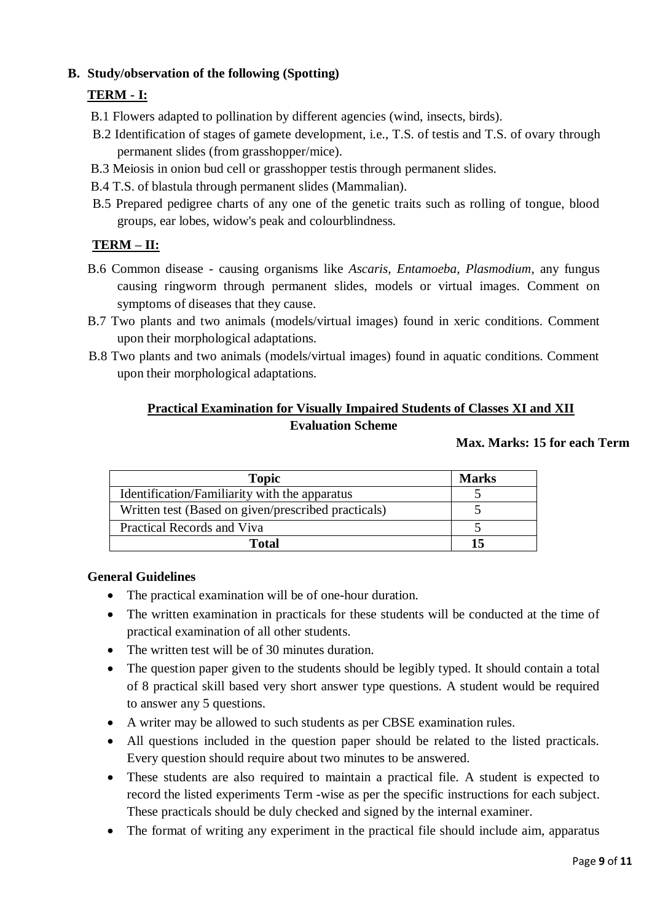## **B. Study/observation of the following (Spotting)**

# **TERM - I:**

- B.1 Flowers adapted to pollination by different agencies (wind, insects, birds).
- B.2 Identification of stages of gamete development, i.e., T.S. of testis and T.S. of ovary through permanent slides (from grasshopper/mice).
- B.3 Meiosis in onion bud cell or grasshopper testis through permanent slides.
- B.4 T.S. of blastula through permanent slides (Mammalian).
- B.5 Prepared pedigree charts of any one of the genetic traits such as rolling of tongue, blood groups, ear lobes, widow's peak and colourblindness.

## **TERM – II:**

- B.6 Common disease causing organisms like *Ascaris, Entamoeba, Plasmodium*, any fungus causing ringworm through permanent slides, models or virtual images. Comment on symptoms of diseases that they cause.
- B.7 Two plants and two animals (models/virtual images) found in xeric conditions. Comment upon their morphological adaptations.
- B.8 Two plants and two animals (models/virtual images) found in aquatic conditions. Comment upon their morphological adaptations.

## **Practical Examination for Visually Impaired Students of Classes XI and XII Evaluation Scheme**

### **Max. Marks: 15 for each Term**

| <b>Topic</b>                                        | <b>Marks</b> |
|-----------------------------------------------------|--------------|
| Identification/Familiarity with the apparatus       |              |
| Written test (Based on given/prescribed practicals) |              |
| Practical Records and Viva                          |              |
| <b>Total</b>                                        | 15           |

### **General Guidelines**

- The practical examination will be of one-hour duration.
- The written examination in practicals for these students will be conducted at the time of practical examination of all other students.
- The written test will be of 30 minutes duration.
- The question paper given to the students should be legibly typed. It should contain a total of 8 practical skill based very short answer type questions. A student would be required to answer any 5 questions.
- A writer may be allowed to such students as per CBSE examination rules.
- All questions included in the question paper should be related to the listed practicals. Every question should require about two minutes to be answered.
- These students are also required to maintain a practical file. A student is expected to record the listed experiments Term -wise as per the specific instructions for each subject. These practicals should be duly checked and signed by the internal examiner.
- The format of writing any experiment in the practical file should include aim, apparatus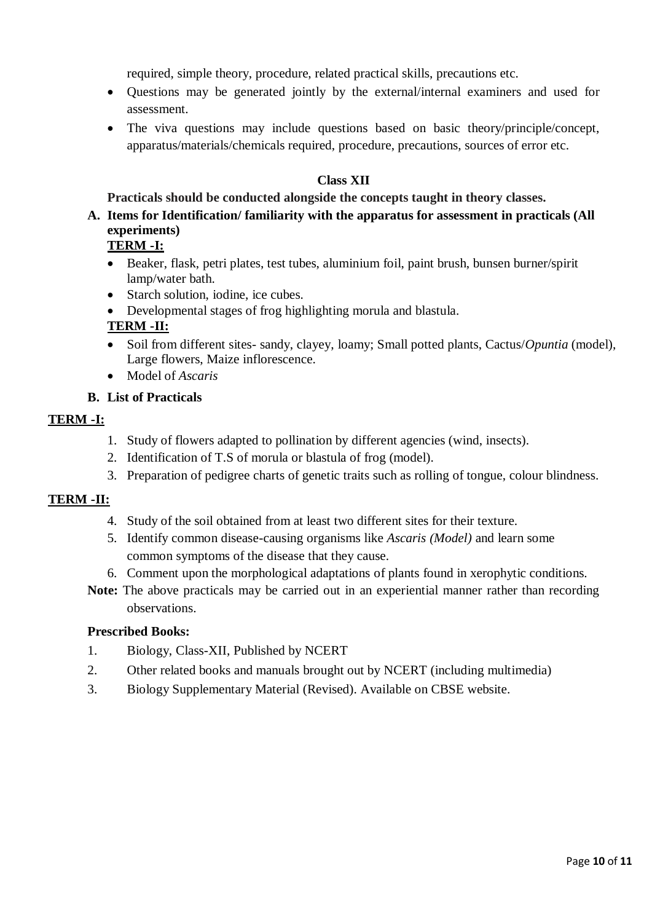required, simple theory, procedure, related practical skills, precautions etc.

- Questions may be generated jointly by the external/internal examiners and used for assessment.
- The viva questions may include questions based on basic theory/principle/concept, apparatus/materials/chemicals required, procedure, precautions, sources of error etc.

### **Class XII**

#### **Practicals should be conducted alongside the concepts taught in theory classes.**

**A. Items for Identification/ familiarity with the apparatus for assessment in practicals (All experiments)** 

### **TERM -I:**

- Beaker, flask, petri plates, test tubes, aluminium foil, paint brush, bunsen burner/spirit lamp/water bath.
- Starch solution, iodine, ice cubes.
- Developmental stages of frog highlighting morula and blastula*.*

### **TERM -II:**

- Soil from different sites- sandy, clayey, loamy; Small potted plants, Cactus/*Opuntia* (model), Large flowers, Maize inflorescence.
- Model of *Ascaris*

### **B. List of Practicals**

### **TERM -I:**

- 1. Study of flowers adapted to pollination by different agencies (wind, insects).
- 2. Identification of T.S of morula or blastula of frog (model).
- 3. Preparation of pedigree charts of genetic traits such as rolling of tongue, colour blindness.

### **TERM -II:**

- 4. Study of the soil obtained from at least two different sites for their texture.
- 5. Identify common disease-causing organisms like *Ascaris (Model)* and learn some common symptoms of the disease that they cause.
- 6. Comment upon the morphological adaptations of plants found in xerophytic conditions.
- **Note:** The above practicals may be carried out in an experiential manner rather than recording observations.

### **Prescribed Books:**

- 1. Biology, Class-XII, Published by NCERT
- 2. Other related books and manuals brought out by NCERT (including multimedia)
- 3. Biology Supplementary Material (Revised). Available on CBSE website.